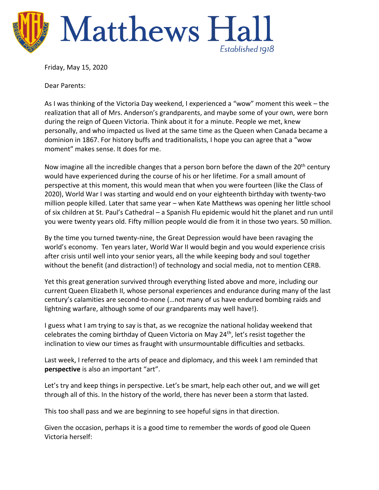

Friday, May 15, 2020

Dear Parents:

As I was thinking of the Victoria Day weekend, I experienced a "wow" moment this week – the realization that all of Mrs. Anderson's grandparents, and maybe some of your own, were born during the reign of Queen Victoria. Think about it for a minute. People we met, knew personally, and who impacted us lived at the same time as the Queen when Canada became a dominion in 1867. For history buffs and traditionalists, I hope you can agree that a "wow moment" makes sense. It does for me.

Now imagine all the incredible changes that a person born before the dawn of the 20<sup>th</sup> century would have experienced during the course of his or her lifetime. For a small amount of perspective at this moment, this would mean that when you were fourteen (like the Class of 2020), World War I was starting and would end on your eighteenth birthday with twenty-two million people killed. Later that same year – when Kate Matthews was opening her little school of six children at St. Paul's Cathedral – a Spanish Flu epidemic would hit the planet and run until you were twenty years old. Fifty million people would die from it in those two years. 50 million.

By the time you turned twenty-nine, the Great Depression would have been ravaging the world's economy. Ten years later, World War II would begin and you would experience crisis after crisis until well into your senior years, all the while keeping body and soul together without the benefit (and distraction!) of technology and social media, not to mention CERB.

Yet this great generation survived through everything listed above and more, including our current Queen Elizabeth II, whose personal experiences and endurance during many of the last century's calamities are second-to-none (…not many of us have endured bombing raids and lightning warfare, although some of our grandparents may well have!).

I guess what I am trying to say is that, as we recognize the national holiday weekend that celebrates the coming birthday of Queen Victoria on May  $24<sup>th</sup>$ , let's resist together the inclination to view our times as fraught with unsurmountable difficulties and setbacks.

Last week, I referred to the arts of peace and diplomacy, and this week I am reminded that **perspective** is also an important "art".

Let's try and keep things in perspective. Let's be smart, help each other out, and we will get through all of this. In the history of the world, there has never been a storm that lasted.

This too shall pass and we are beginning to see hopeful signs in that direction.

Given the occasion, perhaps it is a good time to remember the words of good ole Queen Victoria herself: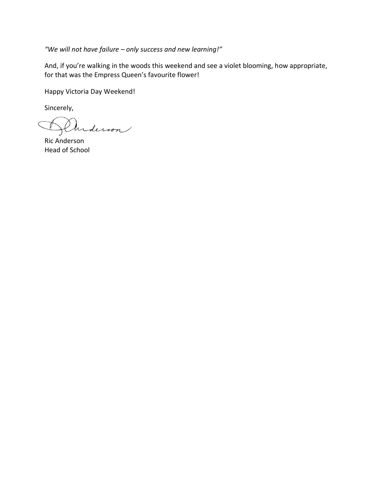*"We will not have failure – only success and new learning!"* 

And, if you're walking in the woods this weekend and see a violet blooming, how appropriate, for that was the Empress Queen's favourite flower!

Happy Victoria Day Weekend!

Sincerely,

Anderson

Ric Anderson Head of School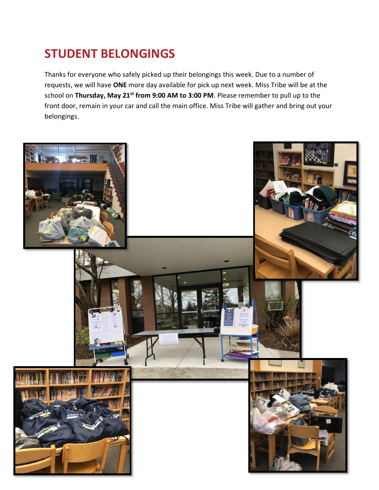## **STUDENT BELONGINGS**

Thanks for everyone who safely picked up their belongings this week. Due to a number of requests, we will have **ONE** more day available for pick up next week. Miss Tribe will be at the school on **Thursday, May 21st from 9:00 AM to 3:00 PM**. Please remember to pull up to the front door, remain in your car and call the main office. Miss Tribe will gather and bring out your belongings.